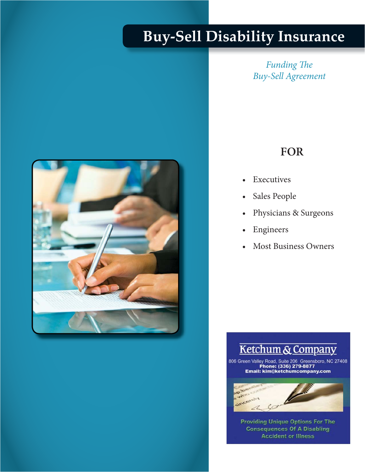# **Buy-Sell Disability Insurance**

# **Funding The** *Buy-Sell Agreement*



# **FOR**

- $\overline{\phantom{a}}$
- Sales People
- Physicians & Surgeons
- **Engineers**
- **Most Business Owners** • Most Business Owners

# Ketchum & Company

806 Green Valley Road, Suite 206 Greensboro, NC 27408<br>Phone: (336) 279-8877 Email: kim@ketchumcompany.com



**Accident or Illness Providing Unique Options For The<br>Consequences Of A Disabling** 

*Lloyd's Coverholder*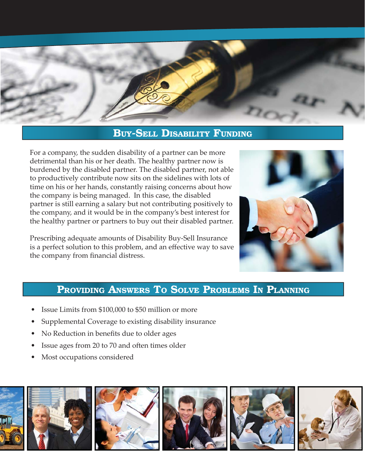

# **BUY-SELL DISABILITY FUNDING**

For a company, the sudden disability of a partner can be more detrimental than his or her death. The healthy partner now is burdened by the disabled partner. The disabled partner, not able to productively contribute now sits on the sidelines with lots of time on his or her hands, constantly raising concerns about how the company is being managed. In this case, the disabled partner is still earning a salary but not contributing positively to the company, and it would be in the company's best interest for the healthy partner or partners to buy out their disabled partner.

Prescribing adequate amounts of Disability Buy-Sell Insurance is a perfect solution to this problem, and an effective way to save the company from financial distress.



## **PROVIDING ANSWERS TO SOLVE PROBLEMS IN PLANNING**

- Issue Limits from \$100,000 to \$50 million or more
- Supplemental Coverage to existing disability insurance
- No Reduction in benefits due to older ages
- Issue ages from 20 to 70 and often times older
- Most occupations considered

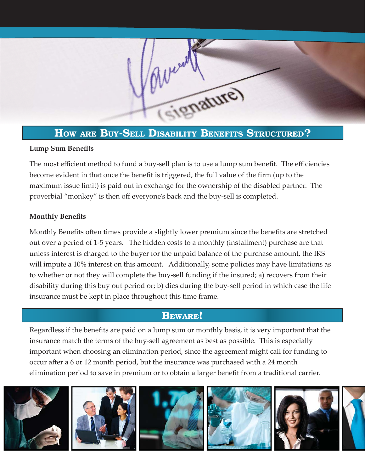

# **HOW ARE BUY-SELL DISABILITY BENEFITS STRUCTURED?**

#### **Lump Sum Benefits**

The most efficient method to fund a buy-sell plan is to use a lump sum benefit. The efficiencies become evident in that once the benefit is triggered, the full value of the firm (up to the maximum issue limit) is paid out in exchange for the ownership of the disabled partner. The proverbial "monkey" is then off everyone's back and the buy-sell is completed.

#### **Monthly Benefits**

Monthly Benefits often times provide a slightly lower premium since the benefits are stretched out over a period of 1-5 years. The hidden costs to a monthly (installment) purchase are that unless interest is charged to the buyer for the unpaid balance of the purchase amount, the IRS will impute a 10% interest on this amount. Additionally, some policies may have limitations as to whether or not they will complete the buy-sell funding if the insured; a) recovers from their disability during this buy out period or; b) dies during the buy-sell period in which case the life insurance must be kept in place throughout this time frame.

## **BEWARE!**

Regardless if the benefits are paid on a lump sum or monthly basis, it is very important that the insurance match the terms of the buy-sell agreement as best as possible. This is especially important when choosing an elimination period, since the agreement might call for funding to occur after a 6 or 12 month period, but the insurance was purchased with a 24 month elimination period to save in premium or to obtain a larger benefit from a traditional carrier.